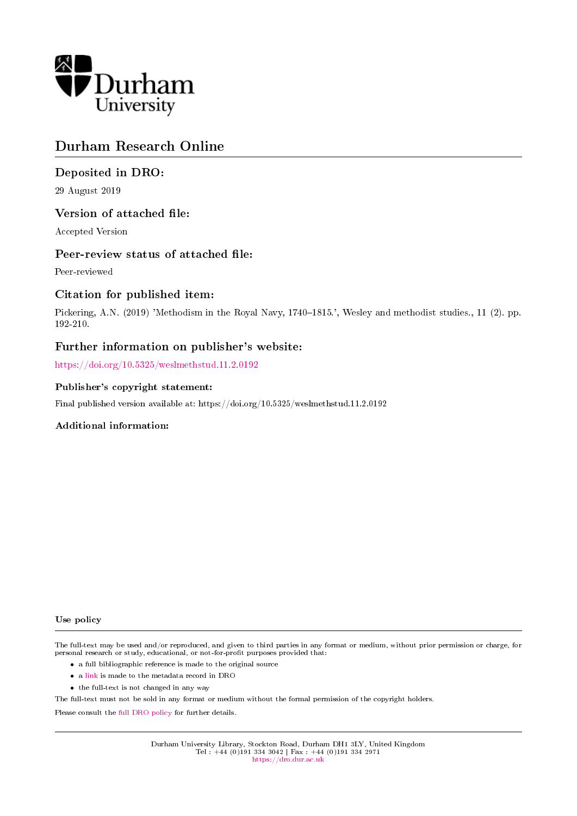

# Durham Research Online

# Deposited in DRO:

29 August 2019

## Version of attached file:

Accepted Version

### Peer-review status of attached file:

Peer-reviewed

## Citation for published item:

Pickering, A.N. (2019) 'Methodism in the Royal Navy, 1740–1815.', Wesley and methodist studies., 11 (2). pp. 192-210.

### Further information on publisher's website:

<https://doi.org/10.5325/weslmethstud.11.2.0192>

### Publisher's copyright statement:

Final published version available at: https://doi.org/10.5325/weslmethstud.11.2.0192

### Additional information:

#### Use policy

The full-text may be used and/or reproduced, and given to third parties in any format or medium, without prior permission or charge, for personal research or study, educational, or not-for-profit purposes provided that:

- a full bibliographic reference is made to the original source
- a [link](http://dro.dur.ac.uk/28951/) is made to the metadata record in DRO
- the full-text is not changed in any way

The full-text must not be sold in any format or medium without the formal permission of the copyright holders.

Please consult the [full DRO policy](https://dro.dur.ac.uk/policies/usepolicy.pdf) for further details.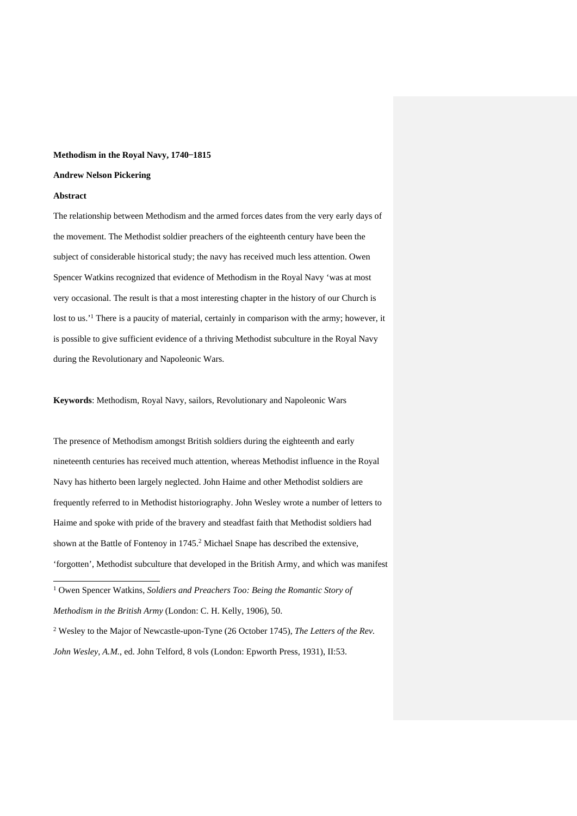#### Methodism in the Royal Navy, 1740–1815

#### **Andrew Nelson Pickering**

#### **Abstract**

1

The relationship between Methodism and the armed forces dates from the very early days of the movement. The Methodist soldier preachers of the eighteenth century have been the subject of considerable historical study; the navy has received much less attention. Owen Spencer Watkins recognized that evidence of Methodism in the Royal Navy 'was at most very occasional. The result is that a most interesting chapter in the history of our Church is lost to us.<sup>1</sup> There is a paucity of material, certainly in comparison with the army; however, it is possible to give sufficient evidence of a thriving Methodist subculture in the Royal Navy during the Revolutionary and Napoleonic Wars.

**Keywords**: Methodism, Royal Navy, sailors, Revolutionary and Napoleonic Wars

The presence of Methodism amongst British soldiers during the eighteenth and early nineteenth centuries has received much attention, whereas Methodist influence in the Royal Navy has hitherto been largely neglected. John Haime and other Methodist soldiers are frequently referred to in Methodist historiography. John Wesley wrote a number of letters to Haime and spoke with pride of the bravery and steadfast faith that Methodist soldiers had shown at the Battle of Fontenoy in 1745.2 Michael Snape has described the extensive, 'forgotten', Methodist subculture that developed in the British Army, and which was manifest

<sup>1</sup> Owen Spencer Watkins, *Soldiers and Preachers Too: Being the Romantic Story of Methodism in the British Army* (London: C. H. Kelly, 1906), 50.

<sup>2</sup> Wesley to the Major of Newcastle-upon-Tyne (26 October 1745), *The Letters of the Rev. John Wesley, A.M.*, ed. John Telford, 8 vols (London: Epworth Press, 1931), II:53.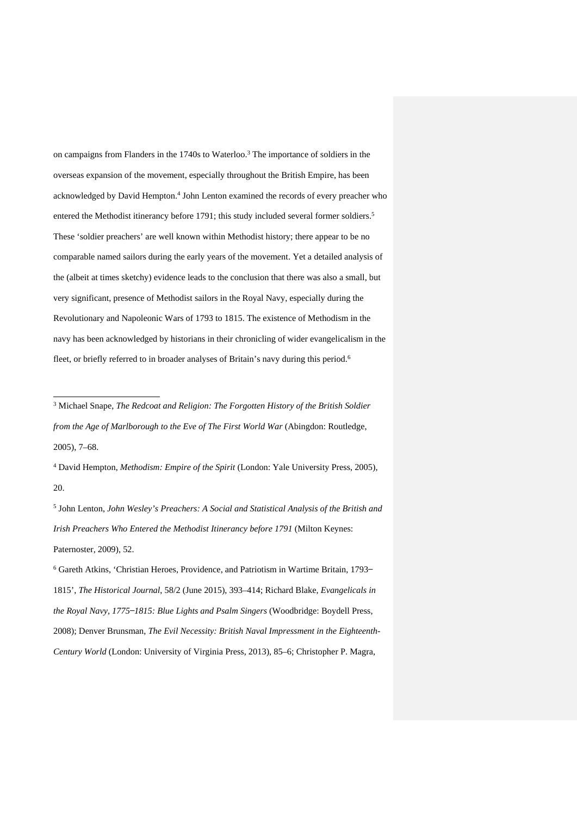on campaigns from Flanders in the 1740s to Waterloo.3 The importance of soldiers in the overseas expansion of the movement, especially throughout the British Empire, has been acknowledged by David Hempton.4 John Lenton examined the records of every preacher who entered the Methodist itinerancy before 1791; this study included several former soldiers.<sup>5</sup> These 'soldier preachers' are well known within Methodist history; there appear to be no comparable named sailors during the early years of the movement. Yet a detailed analysis of the (albeit at times sketchy) evidence leads to the conclusion that there was also a small, but very significant, presence of Methodist sailors in the Royal Navy, especially during the Revolutionary and Napoleonic Wars of 1793 to 1815. The existence of Methodism in the navy has been acknowledged by historians in their chronicling of wider evangelicalism in the fleet, or briefly referred to in broader analyses of Britain's navy during this period.<sup>6</sup>

1

<sup>4</sup> David Hempton, *Methodism: Empire of the Spirit* (London: Yale University Press, 2005), 20.

<sup>5</sup> John Lenton, *John Wesley's Preachers: A Social and Statistical Analysis of the British and Irish Preachers Who Entered the Methodist Itinerancy before 1791* (Milton Keynes: Paternoster, 2009), 52.

<sup>3</sup> Michael Snape, *The Redcoat and Religion: The Forgotten History of the British Soldier from the Age of Marlborough to the Eve of The First World War* (Abingdon: Routledge, 2005), 7–68.

<sup>&</sup>lt;sup>6</sup> Gareth Atkins, 'Christian Heroes, Providence, and Patriotism in Wartime Britain, 1793-1815', *The Historical Journal*, 58/2 (June 2015), 393–414; Richard Blake, *Evangelicals in the Royal Navy, 1775 ̶1815: Blue Lights and Psalm Singers* (Woodbridge: Boydell Press, 2008); Denver Brunsman, *The Evil Necessity: British Naval Impressment in the Eighteenth-Century World* (London: University of Virginia Press, 2013), 85–6; Christopher P. Magra,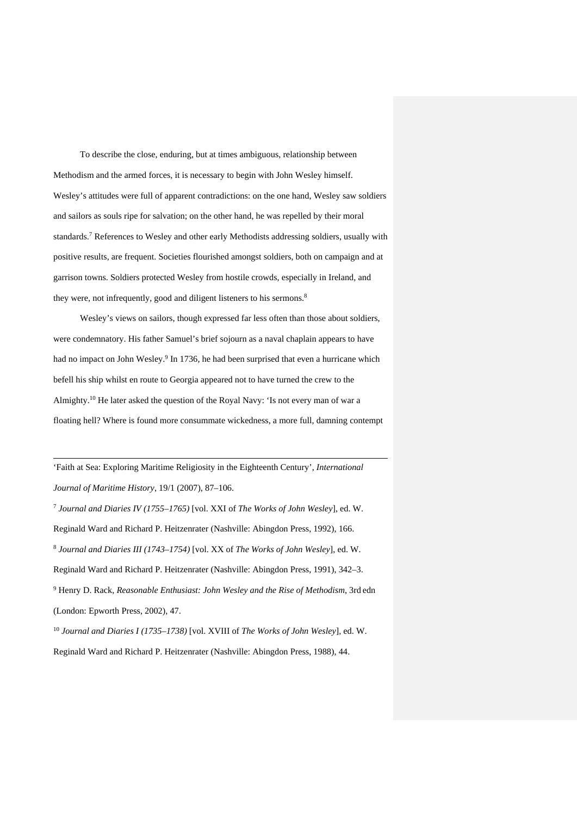To describe the close, enduring, but at times ambiguous, relationship between Methodism and the armed forces, it is necessary to begin with John Wesley himself. Wesley's attitudes were full of apparent contradictions: on the one hand, Wesley saw soldiers and sailors as souls ripe for salvation; on the other hand, he was repelled by their moral standards.7 References to Wesley and other early Methodists addressing soldiers, usually with positive results, are frequent. Societies flourished amongst soldiers, both on campaign and at garrison towns. Soldiers protected Wesley from hostile crowds, especially in Ireland, and they were, not infrequently, good and diligent listeners to his sermons.<sup>8</sup>

Wesley's views on sailors, though expressed far less often than those about soldiers, were condemnatory. His father Samuel's brief sojourn as a naval chaplain appears to have had no impact on John Wesley.<sup>9</sup> In 1736, he had been surprised that even a hurricane which befell his ship whilst en route to Georgia appeared not to have turned the crew to the Almighty.10 He later asked the question of the Royal Navy: 'Is not every man of war a floating hell? Where is found more consummate wickedness, a more full, damning contempt

'Faith at Sea: Exploring Maritime Religiosity in the Eighteenth Century', *International Journal of Maritime History*, 19/1 (2007), 87–106.

1

<sup>7</sup> *Journal and Diaries IV (1755–1765)* [vol. XXI of *The Works of John Wesley*], ed. W. Reginald Ward and Richard P. Heitzenrater (Nashville: Abingdon Press, 1992), 166. <sup>8</sup> *Journal and Diaries III (1743–1754)* [vol. XX of *The Works of John Wesley*], ed. W. Reginald Ward and Richard P. Heitzenrater (Nashville: Abingdon Press, 1991), 342–3. <sup>9</sup> Henry D. Rack, *Reasonable Enthusiast: John Wesley and the Rise of Methodism*, 3rd edn (London: Epworth Press, 2002), 47.

<sup>10</sup> *Journal and Diaries I (1735–1738)* [vol. XVIII of *The Works of John Wesley*], ed. W. Reginald Ward and Richard P. Heitzenrater (Nashville: Abingdon Press, 1988), 44.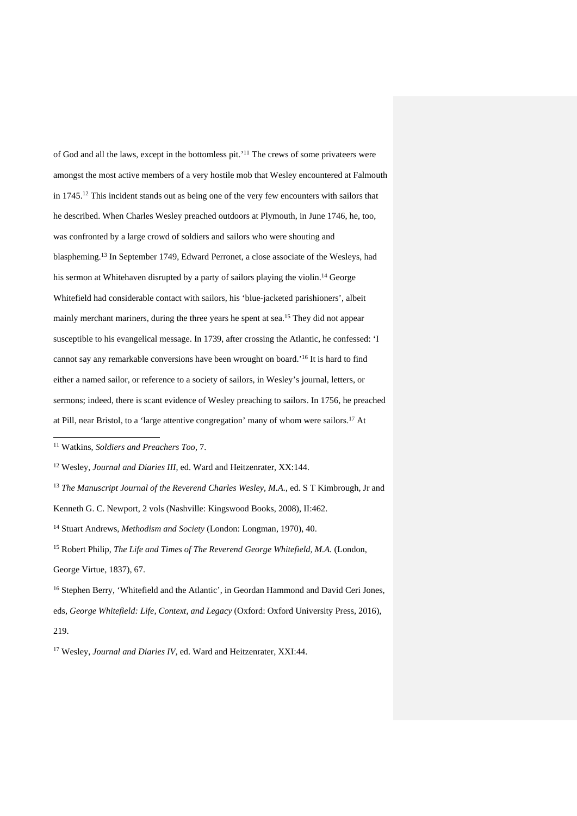of God and all the laws, except in the bottomless pit.' <sup>11</sup> The crews of some privateers were amongst the most active members of a very hostile mob that Wesley encountered at Falmouth in 1745.<sup>12</sup> This incident stands out as being one of the very few encounters with sailors that he described. When Charles Wesley preached outdoors at Plymouth, in June 1746, he, too, was confronted by a large crowd of soldiers and sailors who were shouting and blaspheming.13 In September 1749, Edward Perronet, a close associate of the Wesleys, had his sermon at Whitehaven disrupted by a party of sailors playing the violin.<sup>14</sup> George Whitefield had considerable contact with sailors, his 'blue-jacketed parishioners', albeit mainly merchant mariners, during the three years he spent at sea.<sup>15</sup> They did not appear susceptible to his evangelical message. In 1739, after crossing the Atlantic, he confessed: 'I cannot say any remarkable conversions have been wrought on board.<sup>16</sup> It is hard to find either a named sailor, or reference to a society of sailors, in Wesley's journal, letters, or sermons; indeed, there is scant evidence of Wesley preaching to sailors. In 1756, he preached at Pill, near Bristol, to a 'large attentive congregation' many of whom were sailors.17 At

<sup>11</sup> Watkins, *Soldiers and Preachers Too*, 7.

<sup>12</sup> Wesley, *Journal and Diaries III*, ed. Ward and Heitzenrater, XX:144.

<sup>13</sup> *The Manuscript Journal of the Reverend Charles Wesley, M.A.*, ed. S T Kimbrough, Jr and Kenneth G. C. Newport, 2 vols (Nashville: Kingswood Books, 2008), II:462.

<sup>14</sup> Stuart Andrews, *Methodism and Society* (London: Longman, 1970), 40.

<sup>15</sup> Robert Philip, *The Life and Times of The Reverend George Whitefield, M.A.* (London, George Virtue, 1837), 67.

<sup>&</sup>lt;sup>16</sup> Stephen Berry, 'Whitefield and the Atlantic', in Geordan Hammond and David Ceri Jones, eds, *George Whitefield: Life, Context, and Legacy* (Oxford: Oxford University Press, 2016), 219.

<sup>17</sup> Wesley, *Journal and Diaries IV*, ed. Ward and Heitzenrater, XXI:44.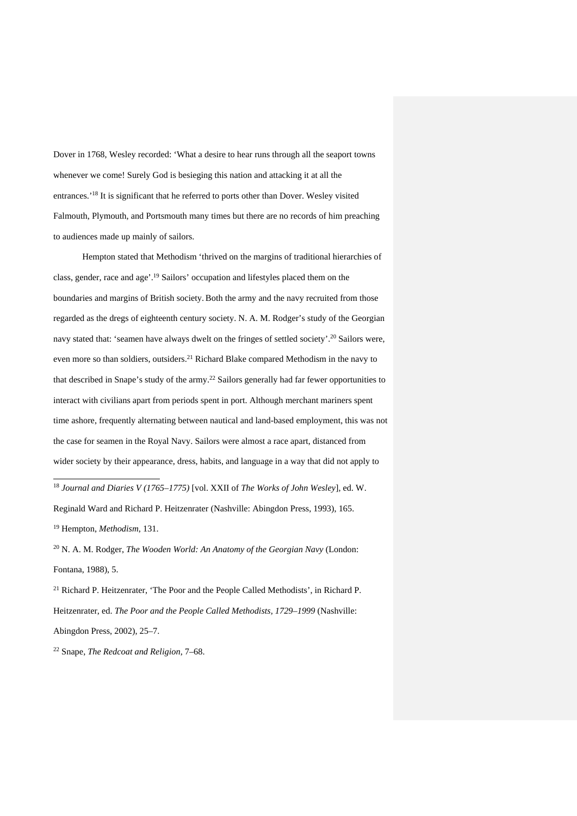Dover in 1768, Wesley recorded: 'What a desire to hear runs through all the seaport towns whenever we come! Surely God is besieging this nation and attacking it at all the entrances.'18 It is significant that he referred to ports other than Dover. Wesley visited Falmouth, Plymouth, and Portsmouth many times but there are no records of him preaching to audiences made up mainly of sailors.

Hempton stated that Methodism 'thrived on the margins of traditional hierarchies of class, gender, race and age'. <sup>19</sup> Sailors' occupation and lifestyles placed them on the boundaries and margins of British society.Both the army and the navy recruited from those regarded as the dregs of eighteenth century society. N. A. M. Rodger's study of the Georgian navy stated that: 'seamen have always dwelt on the fringes of settled society'.20 Sailors were, even more so than soldiers, outsiders.<sup>21</sup> Richard Blake compared Methodism in the navy to that described in Snape's study of the army.22 Sailors generally had far fewer opportunities to interact with civilians apart from periods spent in port. Although merchant mariners spent time ashore, frequently alternating between nautical and land-based employment, this was not the case for seamen in the Royal Navy. Sailors were almost a race apart, distanced from wider society by their appearance, dress, habits, and language in a way that did not apply to

<sup>18</sup> *Journal and Diaries V (1765–1775)* [vol. XXII of *The Works of John Wesley*], ed. W. Reginald Ward and Richard P. Heitzenrater (Nashville: Abingdon Press, 1993), 165. <sup>19</sup> Hempton, *Methodism*, 131.

<sup>20</sup> N. A. M. Rodger, *The Wooden World: An Anatomy of the Georgian Navy* (London: Fontana, 1988), 5.

<sup>21</sup> Richard P. Heitzenrater, 'The Poor and the People Called Methodists', in Richard P. Heitzenrater, ed. *The Poor and the People Called Methodists, 1729–1999* (Nashville: Abingdon Press, 2002), 25–7.

<sup>22</sup> Snape, *The Redcoat and Religion*, 7–68.

.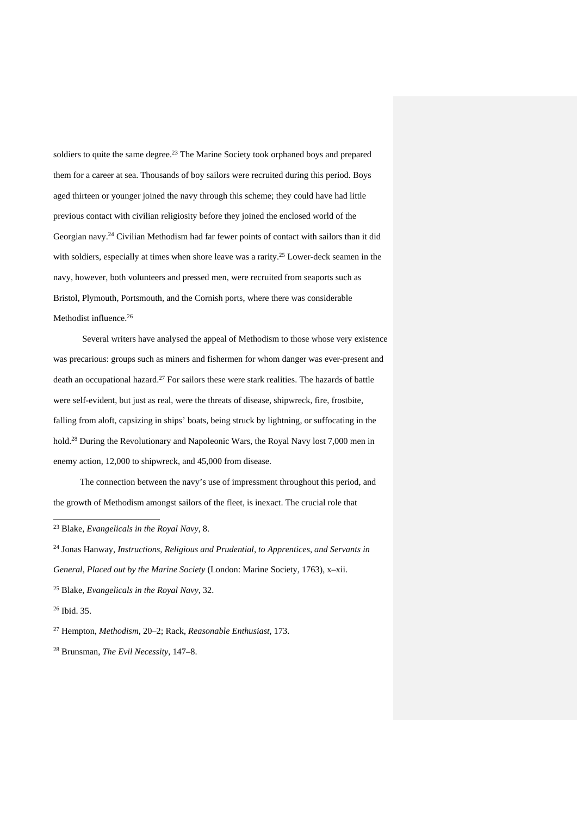soldiers to quite the same degree.<sup>23</sup> The Marine Society took orphaned boys and prepared them for a career at sea. Thousands of boy sailors were recruited during this period. Boys aged thirteen or younger joined the navy through this scheme; they could have had little previous contact with civilian religiosity before they joined the enclosed world of the Georgian navy.24 Civilian Methodism had far fewer points of contact with sailors than it did with soldiers, especially at times when shore leave was a rarity.<sup>25</sup> Lower-deck seamen in the navy, however, both volunteers and pressed men, were recruited from seaports such as Bristol, Plymouth, Portsmouth, and the Cornish ports, where there was considerable Methodist influence. 26

Several writers have analysed the appeal of Methodism to those whose very existence was precarious: groups such as miners and fishermen for whom danger was ever-present and death an occupational hazard.27 For sailors these were stark realities. The hazards of battle were self-evident, but just as real, were the threats of disease, shipwreck, fire, frostbite, falling from aloft, capsizing in ships' boats, being struck by lightning, or suffocating in the hold.<sup>28</sup> During the Revolutionary and Napoleonic Wars, the Royal Navy lost 7,000 men in enemy action, 12,000 to shipwreck, and 45,000 from disease.

The connection between the navy's use of impressment throughout this period, and the growth of Methodism amongst sailors of the fleet, is inexact. The crucial role that

<sup>23</sup> Blake, *Evangelicals in the Royal Navy*, 8.

<sup>24</sup> Jonas Hanway, *Instructions, Religious and Prudential, to Apprentices, and Servants in General, Placed out by the Marine Society* (London: Marine Society, 1763), x–xii. <sup>25</sup> Blake, *Evangelicals in the Royal Navy*, 32.

<sup>26</sup> Ibid. 35.

<sup>27</sup> Hempton, *Methodism*, 20–2; Rack, *Reasonable Enthusiast*, 173.

<sup>28</sup> Brunsman, *The Evil Necessity*, 147–8.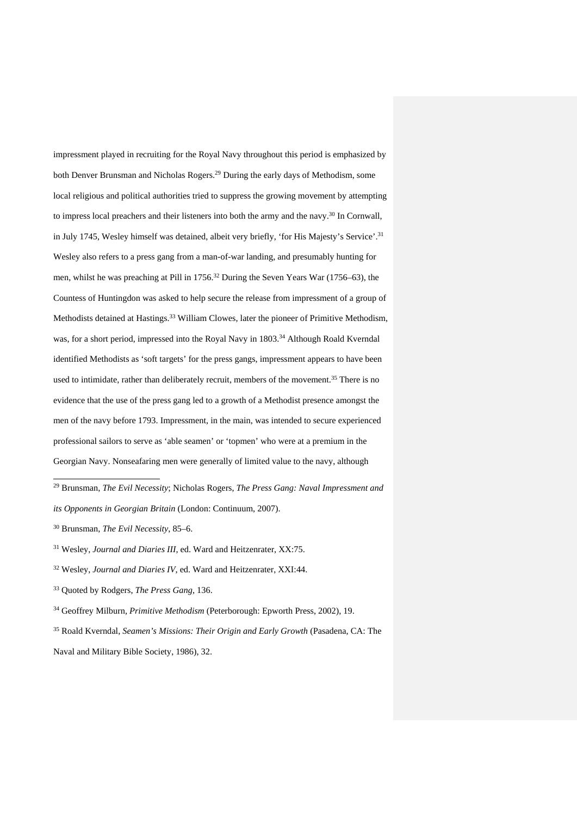impressment played in recruiting for the Royal Navy throughout this period is emphasized by both Denver Brunsman and Nicholas Rogers. <sup>29</sup> During the early days of Methodism, some local religious and political authorities tried to suppress the growing movement by attempting to impress local preachers and their listeners into both the army and the navy.30 In Cornwall, in July 1745, Wesley himself was detained, albeit very briefly, 'for His Majesty's Service'. 31 Wesley also refers to a press gang from a man-of-war landing, and presumably hunting for men, whilst he was preaching at Pill in 1756.<sup>32</sup> During the Seven Years War (1756–63), the Countess of Huntingdon was asked to help secure the release from impressment of a group of Methodists detained at Hastings.<sup>33</sup> William Clowes, later the pioneer of Primitive Methodism, was, for a short period, impressed into the Royal Navy in 1803.<sup>34</sup> Although Roald Kverndal identified Methodists as 'soft targets' for the press gangs, impressment appears to have been used to intimidate, rather than deliberately recruit, members of the movement.<sup>35</sup> There is no evidence that the use of the press gang led to a growth of a Methodist presence amongst the men of the navy before 1793. Impressment, in the main, was intended to secure experienced professional sailors to serve as 'able seamen' or 'topmen' who were at a premium in the Georgian Navy. Nonseafaring men were generally of limited value to the navy, although

.

<sup>29</sup> Brunsman, *The Evil Necessity*; Nicholas Rogers, *The Press Gang: Naval Impressment and* 

*its Opponents in Georgian Britain* (London: Continuum, 2007).

<sup>30</sup> Brunsman, *The Evil Necessity*, 85–6.

<sup>31</sup> Wesley, *Journal and Diaries III*, ed. Ward and Heitzenrater, XX:75.

<sup>32</sup> Wesley, *Journal and Diaries IV*, ed. Ward and Heitzenrater, XXI:44.

<sup>33</sup> Quoted by Rodgers, *The Press Gang*, 136.

<sup>34</sup> Geoffrey Milburn, *Primitive Methodism* (Peterborough: Epworth Press, 2002), 19.

<sup>35</sup> Roald Kverndal, *Seamen's Missions: Their Origin and Early Growth* (Pasadena, CA: The Naval and Military Bible Society, 1986), 32.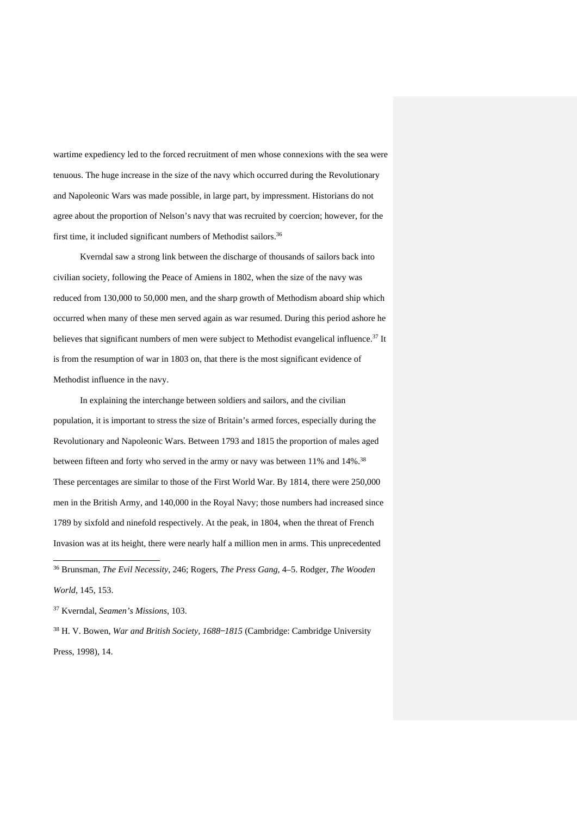wartime expediency led to the forced recruitment of men whose connexions with the sea were tenuous. The huge increase in the size of the navy which occurred during the Revolutionary and Napoleonic Wars was made possible, in large part, by impressment. Historians do not agree about the proportion of Nelson's navy that was recruited by coercion; however, for the first time, it included significant numbers of Methodist sailors.<sup>36</sup>

Kverndal saw a strong link between the discharge of thousands of sailors back into civilian society, following the Peace of Amiens in 1802, when the size of the navy was reduced from 130,000 to 50,000 men, and the sharp growth of Methodism aboard ship which occurred when many of these men served again as war resumed. During this period ashore he believes that significant numbers of men were subject to Methodist evangelical influence.<sup>37</sup> It is from the resumption of war in 1803 on, that there is the most significant evidence of Methodist influence in the navy.

In explaining the interchange between soldiers and sailors, and the civilian population, it is important to stress the size of Britain's armed forces, especially during the Revolutionary and Napoleonic Wars. Between 1793 and 1815 the proportion of males aged between fifteen and forty who served in the army or navy was between 11% and 14%.<sup>38</sup> These percentages are similar to those of the First World War. By 1814, there were 250,000 men in the British Army, and 140,000 in the Royal Navy; those numbers had increased since 1789 by sixfold and ninefold respectively. At the peak, in 1804, when the threat of French Invasion was at its height, there were nearly half a million men in arms. This unprecedented 1 <sup>36</sup> Brunsman, *The Evil Necessity*, 246; Rogers, *The Press Gang*, 4–5. Rodger, *The Wooden* 

*World*, 145, 153.

<sup>37</sup> Kverndal, *Seamen's Missions*, 103.

<sup>38</sup> H. V. Bowen, *War and British Society, 1688-1815* (Cambridge: Cambridge University Press, 1998), 14.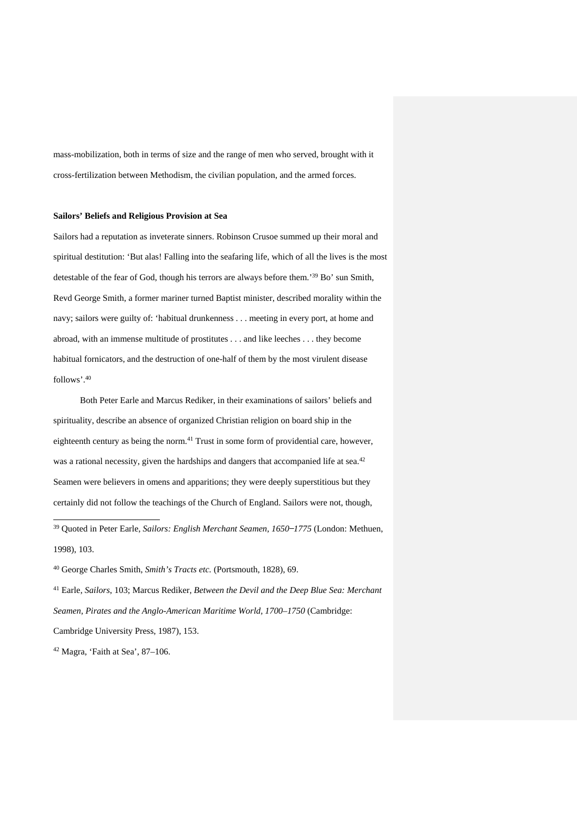mass-mobilization, both in terms of size and the range of men who served, brought with it cross-fertilization between Methodism, the civilian population, and the armed forces.

#### **Sailors' Beliefs and Religious Provision at Sea**

Sailors had a reputation as inveterate sinners. Robinson Crusoe summed up their moral and spiritual destitution: 'But alas! Falling into the seafaring life, which of all the lives is the most detestable of the fear of God, though his terrors are always before them.'39 Bo' sun Smith, Revd George Smith, a former mariner turned Baptist minister, described morality within the navy; sailors were guilty of: 'habitual drunkenness . . . meeting in every port, at home and abroad, with an immense multitude of prostitutes . . . and like leeches . . . they become habitual fornicators, and the destruction of one-half of them by the most virulent disease follows'. 40

Both Peter Earle and Marcus Rediker, in their examinations of sailors' beliefs and spirituality, describe an absence of organized Christian religion on board ship in the eighteenth century as being the norm.<sup>41</sup> Trust in some form of providential care, however, was a rational necessity, given the hardships and dangers that accompanied life at sea.<sup>42</sup> Seamen were believers in omens and apparitions; they were deeply superstitious but they certainly did not follow the teachings of the Church of England. Sailors were not, though,

<sup>39</sup> Quoted in Peter Earle, *Sailors: English Merchant Seamen, 1650 ̶1775* (London: Methuen, 1998), 103.

<sup>40</sup> George Charles Smith, *Smith's Tracts etc.* (Portsmouth, 1828), 69.

<sup>41</sup> Earle, *Sailors*, 103; Marcus Rediker, *Between the Devil and the Deep Blue Sea: Merchant Seamen, Pirates and the Anglo-American Maritime World, 1700*–*1750* (Cambridge: Cambridge University Press, 1987), 153.

 $42$  Magra, 'Faith at Sea', 87-106.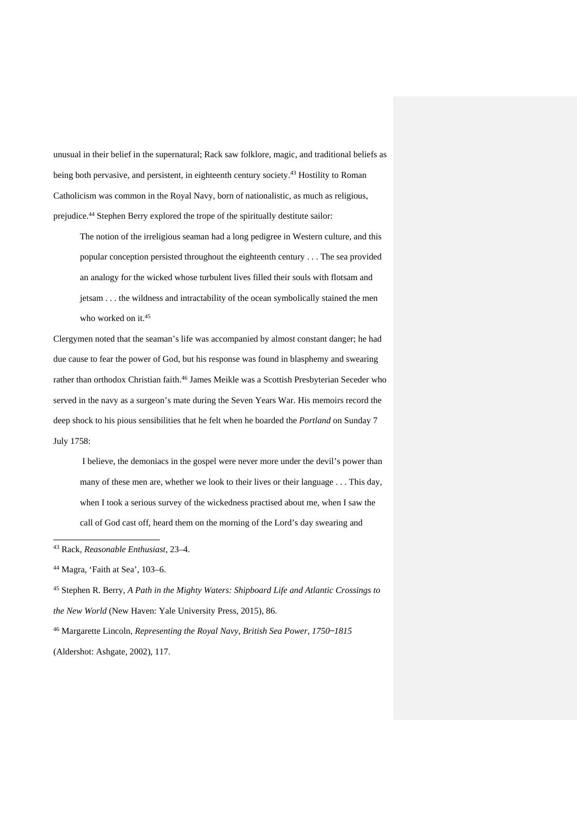unusual in their belief in the supernatural; Rack saw folklore, magic, and traditional beliefs as being both pervasive, and persistent, in eighteenth century society.<sup>43</sup> Hostility to Roman Catholicism was common in the Royal Navy, born of nationalistic, as much as religious, prejudice.44 Stephen Berry explored the trope of the spiritually destitute sailor:

The notion of the irreligious seaman had a long pedigree in Western culture, and this popular conception persisted throughout the eighteenth century . . . The sea provided an analogy for the wicked whose turbulent lives filled their souls with flotsam and jetsam . . . the wildness and intractability of the ocean symbolically stained the men who worked on it.<sup>45</sup>

Clergymen noted that the seaman's life was accompanied by almost constant danger; he had due cause to fear the power of God, but his response was found in blasphemy and swearing rather than orthodox Christian faith.<sup>46</sup> James Meikle was a Scottish Presbyterian Seceder who served in the navy as a surgeon's mate during the Seven Years War. His memoirs record the deep shock to his pious sensibilities that he felt when he boarded the *Portland* on Sunday 7 July 1758:

I believe, the demoniacs in the gospel were never more under the devil's power than many of these men are, whether we look to their lives or their language . . . This day, when I took a serious survey of the wickedness practised about me, when I saw the call of God cast off, heard them on the morning of the Lord's day swearing and

.

<sup>43</sup> Rack, *Reasonable Enthusiast*, 23–4.

<sup>44</sup> Magra, 'Faith at Sea', 103–6.

<sup>45</sup> Stephen R. Berry, *A Path in the Mighty Waters: Shipboard Life and Atlantic Crossings to the New World* (New Haven: Yale University Press, 2015), 86.

<sup>&</sup>lt;sup>46</sup> Margarette Lincoln, *Representing the Royal Navy*, *British Sea Power*, 1750–1815 (Aldershot: Ashgate, 2002), 117.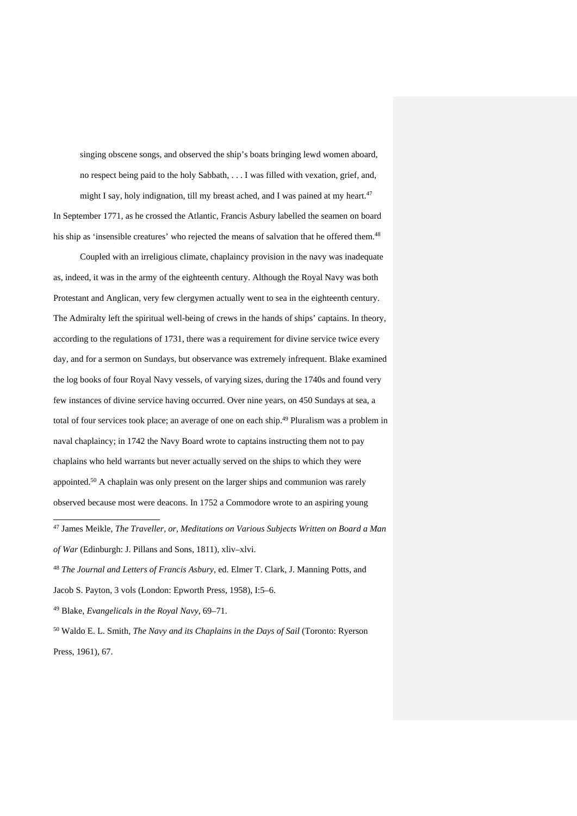singing obscene songs, and observed the ship's boats bringing lewd women aboard, no respect being paid to the holy Sabbath, . . . I was filled with vexation, grief, and, might I say, holy indignation, till my breast ached, and I was pained at my heart.<sup>47</sup> In September 1771, as he crossed the Atlantic, Francis Asbury labelled the seamen on board his ship as 'insensible creatures' who rejected the means of salvation that he offered them.<sup>48</sup>

Coupled with an irreligious climate, chaplaincy provision in the navy was inadequate as, indeed, it was in the army of the eighteenth century. Although the Royal Navy was both Protestant and Anglican, very few clergymen actually went to sea in the eighteenth century. The Admiralty left the spiritual well-being of crews in the hands of ships' captains. In theory, according to the regulations of 1731, there was a requirement for divine service twice every day, and for a sermon on Sundays, but observance was extremely infrequent. Blake examined the log books of four Royal Navy vessels, of varying sizes, during the 1740s and found very few instances of divine service having occurred. Over nine years, on 450 Sundays at sea, a total of four services took place; an average of one on each ship.49 Pluralism was a problem in naval chaplaincy; in 1742 the Navy Board wrote to captains instructing them not to pay chaplains who held warrants but never actually served on the ships to which they were appointed.50 A chaplain was only present on the larger ships and communion was rarely observed because most were deacons. In 1752 a Commodore wrote to an aspiring young

1

<sup>50</sup> Waldo E. L. Smith, *The Navy and its Chaplains in the Days of Sail* (Toronto: Ryerson Press, 1961), 67.

<sup>47</sup> James Meikle, *The Traveller, or, Meditations on Various Subjects Written on Board a Man of War* (Edinburgh: J. Pillans and Sons, 1811), xliv–xlvi.

<sup>48</sup> *The Journal and Letters of Francis Asbury*, ed. Elmer T. Clark, J. Manning Potts, and Jacob S. Payton, 3 vols (London: Epworth Press, 1958), I:5–6.

<sup>49</sup> Blake, *Evangelicals in the Royal Navy*, 69–71.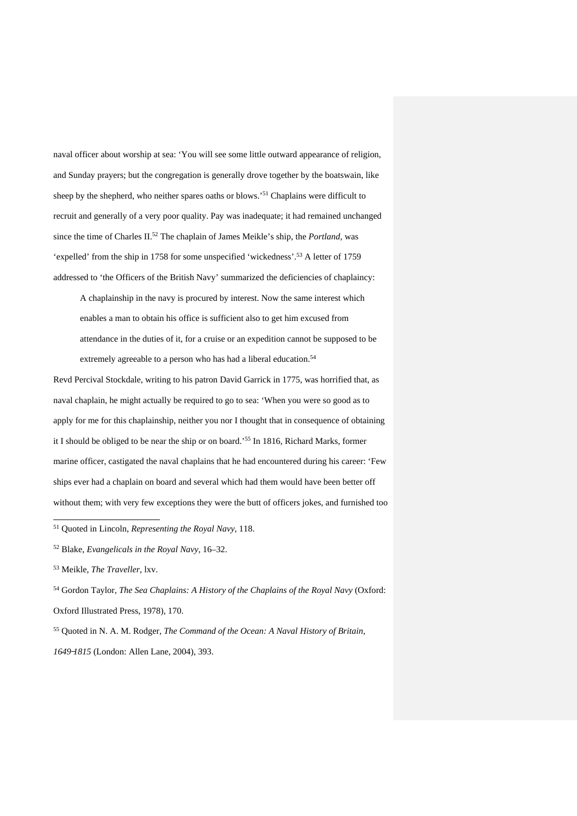naval officer about worship at sea: 'You will see some little outward appearance of religion, and Sunday prayers; but the congregation is generally drove together by the boatswain, like sheep by the shepherd, who neither spares oaths or blows.<sup>'51</sup> Chaplains were difficult to recruit and generally of a very poor quality. Pay was inadequate; it had remained unchanged since the time of Charles II.52 The chaplain of James Meikle's ship, the *Portland*, was 'expelled' from the ship in 1758 for some unspecified 'wickedness'. <sup>53</sup> A letter of 1759 addressed to 'the Officers of the British Navy' summarized the deficiencies of chaplaincy:

A chaplainship in the navy is procured by interest. Now the same interest which enables a man to obtain his office is sufficient also to get him excused from attendance in the duties of it, for a cruise or an expedition cannot be supposed to be extremely agreeable to a person who has had a liberal education.<sup>54</sup>

Revd Percival Stockdale, writing to his patron David Garrick in 1775, was horrified that, as naval chaplain, he might actually be required to go to sea: 'When you were so good as to apply for me for this chaplainship, neither you nor I thought that in consequence of obtaining it I should be obliged to be near the ship or on board.'55 In 1816, Richard Marks, former marine officer, castigated the naval chaplains that he had encountered during his career: 'Few ships ever had a chaplain on board and several which had them would have been better off without them; with very few exceptions they were the butt of officers jokes, and furnished too

<sup>51</sup> Quoted in Lincoln, *Representing the Royal Navy*, 118.

<sup>52</sup> Blake, *Evangelicals in the Royal Navy*, 16–32.

<sup>53</sup> Meikle, *The Traveller*, lxv.

<sup>54</sup> Gordon Taylor, *The Sea Chaplains: A History of the Chaplains of the Royal Navy* (Oxford: Oxford Illustrated Press, 1978), 170.

<sup>55</sup> Quoted in N. A. M. Rodger, *The Command of the Ocean: A Naval History of Britain, 1649 ̶1815* (London: Allen Lane, 2004), 393.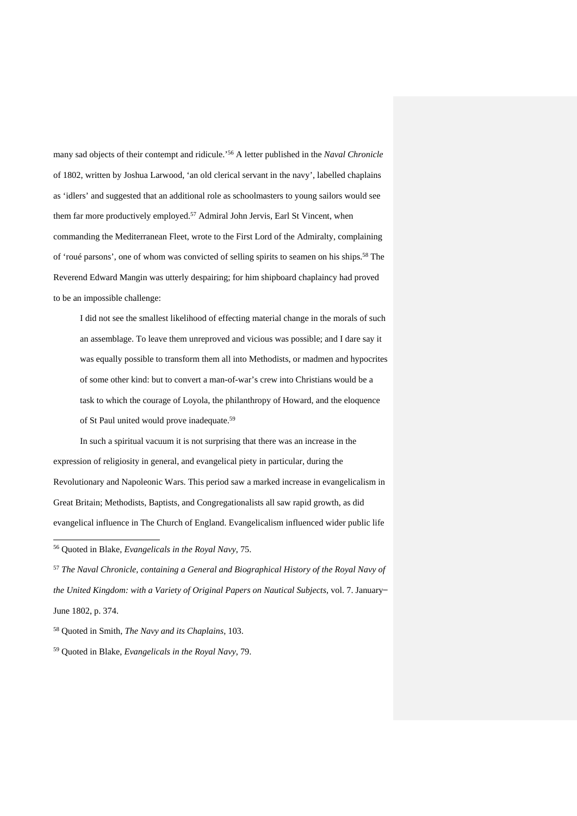many sad objects of their contempt and ridicule.'56 A letter published in the *Naval Chronicle* of 1802, written by Joshua Larwood, 'an old clerical servant in the navy', labelled chaplains as 'idlers' and suggested that an additional role as schoolmasters to young sailors would see them far more productively employed.57 Admiral John Jervis, Earl St Vincent, when commanding the Mediterranean Fleet, wrote to the First Lord of the Admiralty, complaining of 'roué parsons', one of whom was convicted of selling spirits to seamen on his ships.<sup>58</sup> The Reverend Edward Mangin was utterly despairing; for him shipboard chaplaincy had proved to be an impossible challenge:

I did not see the smallest likelihood of effecting material change in the morals of such an assemblage. To leave them unreproved and vicious was possible; and I dare say it was equally possible to transform them all into Methodists, or madmen and hypocrites of some other kind: but to convert a man-of-war's crew into Christians would be a task to which the courage of Loyola, the philanthropy of Howard, and the eloquence of St Paul united would prove inadequate.59

In such a spiritual vacuum it is not surprising that there was an increase in the expression of religiosity in general, and evangelical piety in particular, during the Revolutionary and Napoleonic Wars. This period saw a marked increase in evangelicalism in Great Britain; Methodists, Baptists, and Congregationalists all saw rapid growth, as did evangelical influence in The Church of England. Evangelicalism influenced wider public life

<sup>56</sup> Quoted in Blake, *Evangelicals in the Royal Navy*, 75.

.

<sup>57</sup> *The Naval Chronicle, containing a General and Biographical History of the Royal Navy of the United Kingdom: with a Variety of Original Papers on Nautical Subjects*, vol. 7. January ̶ June 1802, p. 374.

<sup>58</sup> Quoted in Smith, *The Navy and its Chaplains*, 103.

<sup>59</sup> Quoted in Blake, *Evangelicals in the Royal Navy*, 79.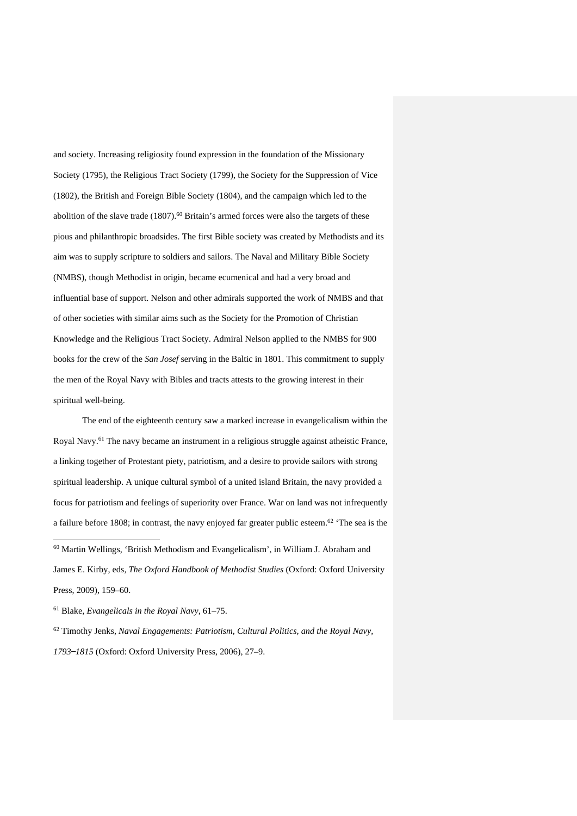and society. Increasing religiosity found expression in the foundation of the Missionary Society (1795), the Religious Tract Society (1799), the Society for the Suppression of Vice (1802), the British and Foreign Bible Society (1804), and the campaign which led to the abolition of the slave trade  $(1807)$ .<sup>60</sup> Britain's armed forces were also the targets of these pious and philanthropic broadsides. The first Bible society was created by Methodists and its aim was to supply scripture to soldiers and sailors. The Naval and Military Bible Society (NMBS), though Methodist in origin, became ecumenical and had a very broad and influential base of support. Nelson and other admirals supported the work of NMBS and that of other societies with similar aims such as the Society for the Promotion of Christian Knowledge and the Religious Tract Society. Admiral Nelson applied to the NMBS for 900 books for the crew of the *San Josef* serving in the Baltic in 1801. This commitment to supply the men of the Royal Navy with Bibles and tracts attests to the growing interest in their spiritual well-being.

The end of the eighteenth century saw a marked increase in evangelicalism within the Royal Navy.61 The navy became an instrument in a religious struggle against atheistic France, a linking together of Protestant piety, patriotism, and a desire to provide sailors with strong spiritual leadership. A unique cultural symbol of a united island Britain, the navy provided a focus for patriotism and feelings of superiority over France. War on land was not infrequently a failure before 1808; in contrast, the navy enjoyed far greater public esteem.<sup>62</sup> 'The sea is the

.

<sup>60</sup> Martin Wellings, 'British Methodism and Evangelicalism', in William J. Abraham and James E. Kirby, eds, *The Oxford Handbook of Methodist Studies* (Oxford: Oxford University Press, 2009), 159–60.

<sup>61</sup> Blake, *Evangelicals in the Royal Navy*, 61–75.

<sup>62</sup> Timothy Jenks, *Naval Engagements: Patriotism, Cultural Politics, and the Royal Navy, 1793 ̶1815* (Oxford: Oxford University Press, 2006), 27–9.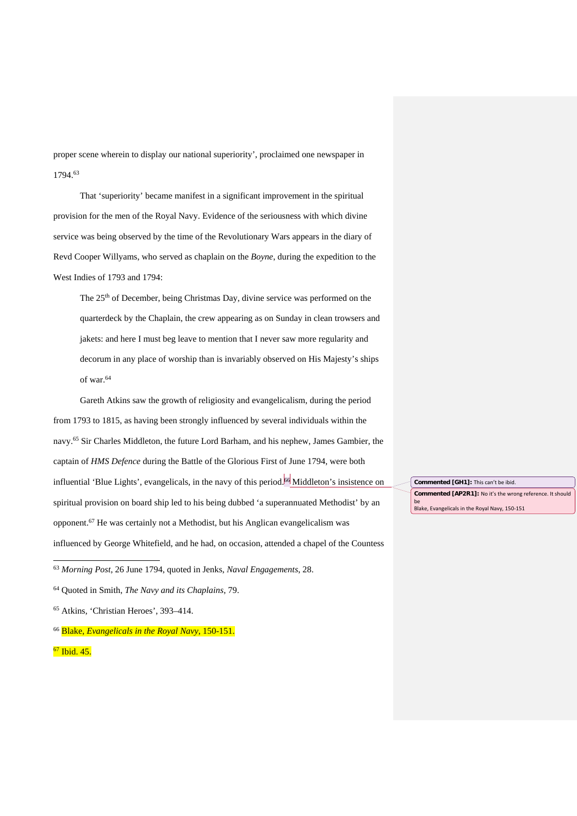proper scene wherein to display our national superiority', proclaimed one newspaper in 1794.63

That 'superiority' became manifest in a significant improvement in the spiritual provision for the men of the Royal Navy. Evidence of the seriousness with which divine service was being observed by the time of the Revolutionary Wars appears in the diary of Revd Cooper Willyams, who served as chaplain on the *Boyne*, during the expedition to the West Indies of 1793 and 1794:

The 25th of December, being Christmas Day, divine service was performed on the quarterdeck by the Chaplain, the crew appearing as on Sunday in clean trowsers and jakets: and here I must beg leave to mention that I never saw more regularity and decorum in any place of worship than is invariably observed on His Majesty's ships of war.64

Gareth Atkins saw the growth of religiosity and evangelicalism, during the period from 1793 to 1815, as having been strongly influenced by several individuals within the navy.65 Sir Charles Middleton, the future Lord Barham, and his nephew, James Gambier, the captain of *HMS Defence* during the Battle of the Glorious First of June 1794, were both influential 'Blue Lights', evangelicals, in the navy of this period.<sup>66</sup> Middleton's insistence on spiritual provision on board ship led to his being dubbed 'a superannuated Methodist' by an opponent.67 He was certainly not a Methodist, but his Anglican evangelicalism was influenced by George Whitefield, and he had, on occasion, attended a chapel of the Countess

<sup>63</sup> *Morning Post*, 26 June 1794, quoted in Jenks, *Naval Engagements*, 28.

<sup>66</sup> Blake, *Evangelicals in the Royal Navy*, 150-151.

<sup>67</sup> Ibid. 45.

1

**Commented [GH1]:** This can't be ibid. **Commented [AP2R1]:** No it's the wrong reference. It should be Blake, Evangelicals in the Royal Navy, 150-151

<sup>64</sup> Quoted in Smith, *The Navy and its Chaplains*, 79.

<sup>65</sup> Atkins, 'Christian Heroes', 393–414.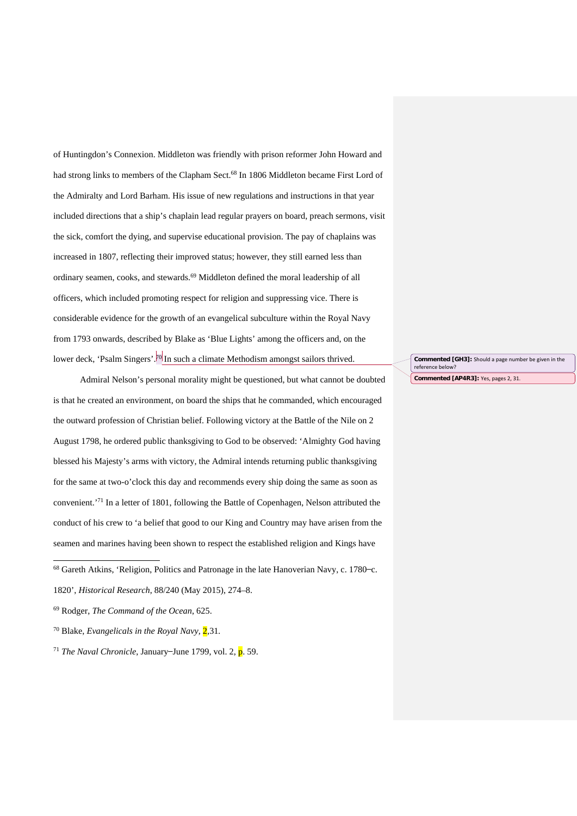of Huntingdon's Connexion. Middleton was friendly with prison reformer John Howard and had strong links to members of the Clapham Sect.<sup>68</sup> In 1806 Middleton became First Lord of the Admiralty and Lord Barham. His issue of new regulations and instructions in that year included directions that a ship's chaplain lead regular prayers on board, preach sermons, visit the sick, comfort the dying, and supervise educational provision. The pay of chaplains was increased in 1807, reflecting their improved status; however, they still earned less than ordinary seamen, cooks, and stewards.<sup>69</sup> Middleton defined the moral leadership of all officers, which included promoting respect for religion and suppressing vice. There is considerable evidence for the growth of an evangelical subculture within the Royal Navy from 1793 onwards, described by Blake as 'Blue Lights' among the officers and, on the lower deck, 'Psalm Singers'.<sup>70</sup> In such a climate Methodism amongst sailors thrived.

Admiral Nelson's personal morality might be questioned, but what cannot be doubted is that he created an environment, on board the ships that he commanded, which encouraged the outward profession of Christian belief. Following victory at the Battle of the Nile on 2 August 1798, he ordered public thanksgiving to God to be observed: 'Almighty God having blessed his Majesty's arms with victory, the Admiral intends returning public thanksgiving for the same at two-o'clock this day and recommends every ship doing the same as soon as convenient.'71 In a letter of 1801, following the Battle of Copenhagen, Nelson attributed the conduct of his crew to 'a belief that good to our King and Country may have arisen from the seamen and marines having been shown to respect the established religion and Kings have

68 Gareth Atkins, 'Religion, Politics and Patronage in the late Hanoverian Navy, c. 1780-c. 1820', *Historical Research*, 88/240 (May 2015), 274–8.

<sup>69</sup> Rodger, *The Command of the Ocean*, 625.

1

<sup>70</sup> Blake, *Evangelicals in the Royal Navy,* 2*,*31*.*

<sup>71</sup> *The Naval Chronicle*, January–June 1799, vol. 2,  $\overline{p}$ . 59.

**Commented [GH3]:** Should a page number be given in the reference below? **Commented [AP4R3]:** Yes, pages 2, 31.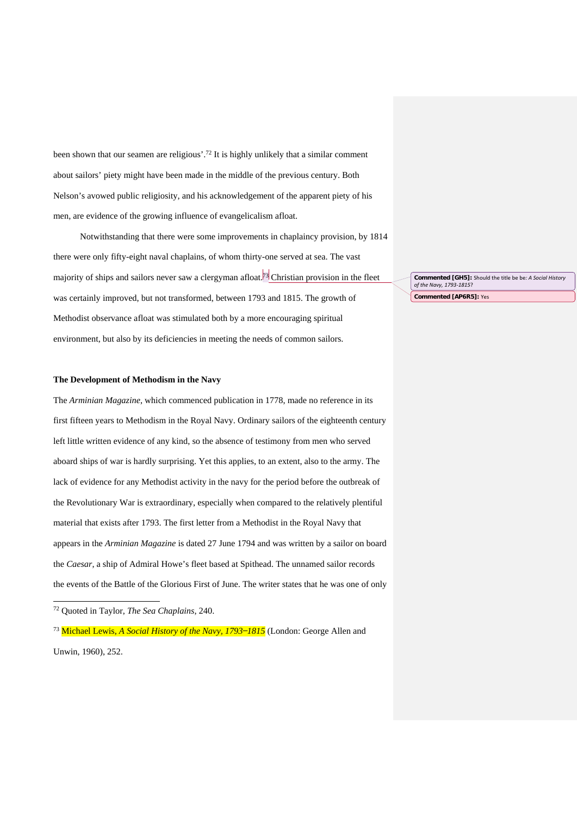been shown that our seamen are religious'.72 It is highly unlikely that a similar comment about sailors' piety might have been made in the middle of the previous century. Both Nelson's avowed public religiosity, and his acknowledgement of the apparent piety of his men, are evidence of the growing influence of evangelicalism afloat.

Notwithstanding that there were some improvements in chaplaincy provision, by 1814 there were only fifty-eight naval chaplains, of whom thirty-one served at sea. The vast majority of ships and sailors never saw a clergyman afloat.<sup>73</sup> Christian provision in the fleet was certainly improved, but not transformed, between 1793 and 1815. The growth of Methodist observance afloat was stimulated both by a more encouraging spiritual environment, but also by its deficiencies in meeting the needs of common sailors.

#### **The Development of Methodism in the Navy**

The *Arminian Magazine*, which commenced publication in 1778, made no reference in its first fifteen years to Methodism in the Royal Navy. Ordinary sailors of the eighteenth century left little written evidence of any kind, so the absence of testimony from men who served aboard ships of war is hardly surprising. Yet this applies, to an extent, also to the army. The lack of evidence for any Methodist activity in the navy for the period before the outbreak of the Revolutionary War is extraordinary, especially when compared to the relatively plentiful material that exists after 1793. The first letter from a Methodist in the Royal Navy that appears in the *Arminian Magazine* is dated 27 June 1794 and was written by a sailor on board the *Caesar*, a ship of Admiral Howe's fleet based at Spithead. The unnamed sailor records the events of the Battle of the Glorious First of June. The writer states that he was one of only

.

<sup>73</sup> Michael Lewis, *A Social History of the Navy, 1793–1815* (London: George Allen and Unwin, 1960), 252.

**Commented [GH5]:** Should the title be be*: A Social History of the Navy, 1793-1815*? **Commented [AP6R5]:** Yes

<sup>72</sup> Quoted in Taylor, *The Sea Chaplains*, 240.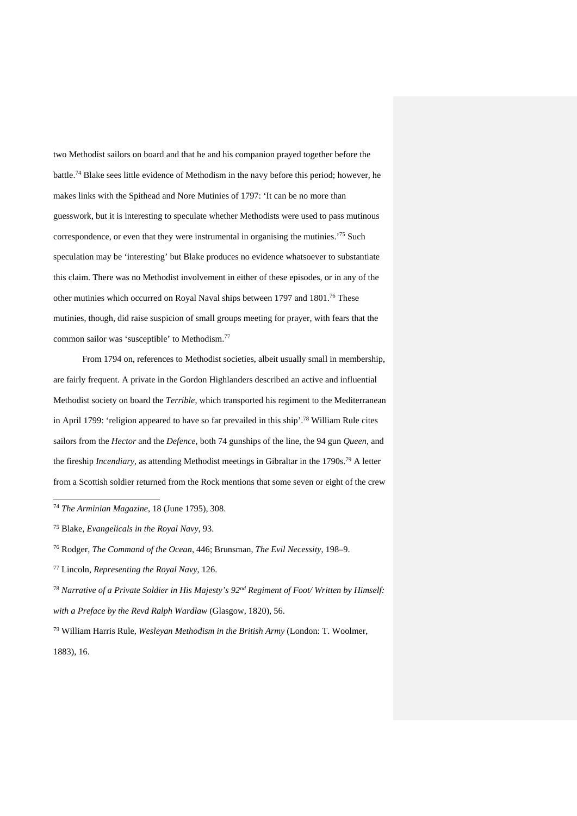two Methodist sailors on board and that he and his companion prayed together before the battle.74 Blake sees little evidence of Methodism in the navy before this period; however, he makes links with the Spithead and Nore Mutinies of 1797: 'It can be no more than guesswork, but it is interesting to speculate whether Methodists were used to pass mutinous correspondence, or even that they were instrumental in organising the mutinies.<sup>75</sup> Such speculation may be 'interesting' but Blake produces no evidence whatsoever to substantiate this claim. There was no Methodist involvement in either of these episodes, or in any of the other mutinies which occurred on Royal Naval ships between 1797 and 1801. <sup>76</sup> These mutinies, though, did raise suspicion of small groups meeting for prayer, with fears that the common sailor was 'susceptible' to Methodism.77

From 1794 on, references to Methodist societies, albeit usually small in membership, are fairly frequent. A private in the Gordon Highlanders described an active and influential Methodist society on board the *Terrible*, which transported his regiment to the Mediterranean in April 1799: 'religion appeared to have so far prevailed in this ship'. <sup>78</sup> William Rule cites sailors from the *Hector* and the *Defence*, both 74 gunships of the line, the 94 gun *Queen,* and the fireship *Incendiary*, as attending Methodist meetings in Gibraltar in the 1790s.79 A letter from a Scottish soldier returned from the Rock mentions that some seven or eight of the crew

<sup>74</sup> *The Arminian Magazine*, 18 (June 1795), 308.

<sup>75</sup> Blake, *Evangelicals in the Royal Navy*, 93.

<sup>76</sup> Rodger, *The Command of the Ocean*, 446; Brunsman, *The Evil Necessity*, 198–9.

<sup>77</sup> Lincoln, *Representing the Royal Navy*, 126.

<sup>78</sup> *Narrative of a Private Soldier in His Majesty's 92nd Regiment of Foot/ Written by Himself: with a Preface by the Revd Ralph Wardlaw* (Glasgow, 1820), 56.

<sup>79</sup> William Harris Rule, *Wesleyan Methodism in the British Army* (London: T. Woolmer, 1883), 16.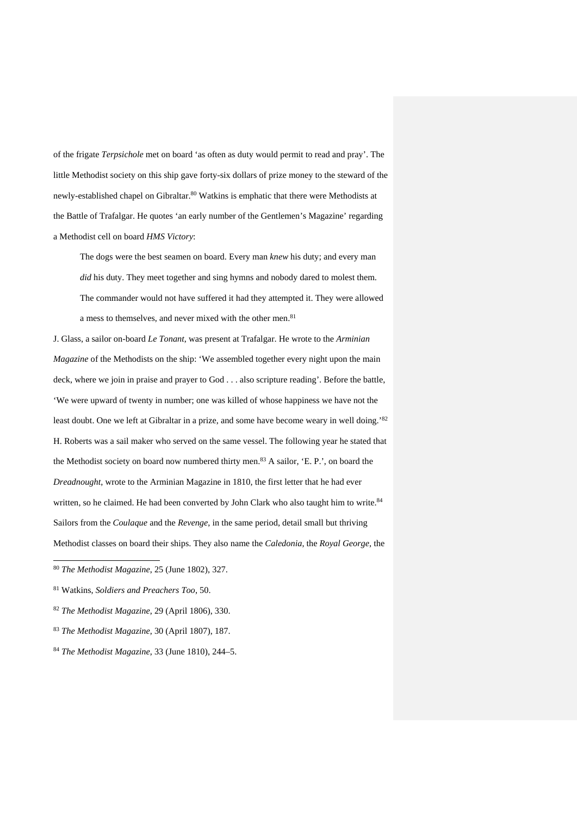of the frigate *Terpsichole* met on board 'as often as duty would permit to read and pray'. The little Methodist society on this ship gave forty-six dollars of prize money to the steward of the newly-established chapel on Gibraltar.<sup>80</sup> Watkins is emphatic that there were Methodists at the Battle of Trafalgar. He quotes 'an early number of the Gentlemen's Magazine' regarding a Methodist cell on board *HMS Victory*:

The dogs were the best seamen on board. Every man *knew* his duty; and every man *did* his duty. They meet together and sing hymns and nobody dared to molest them. The commander would not have suffered it had they attempted it. They were allowed a mess to themselves, and never mixed with the other men.<sup>81</sup>

J. Glass, a sailor on-board *Le Tonant*, was present at Trafalgar. He wrote to the *Arminian Magazine* of the Methodists on the ship: 'We assembled together every night upon the main deck, where we join in praise and prayer to God . . . also scripture reading'. Before the battle, 'We were upward of twenty in number; one was killed of whose happiness we have not the least doubt. One we left at Gibraltar in a prize, and some have become weary in well doing.'<sup>82</sup> H. Roberts was a sail maker who served on the same vessel. The following year he stated that the Methodist society on board now numbered thirty men.<sup>83</sup> A sailor, 'E. P.', on board the *Dreadnought*, wrote to the Arminian Magazine in 1810, the first letter that he had ever written, so he claimed. He had been converted by John Clark who also taught him to write.<sup>84</sup> Sailors from the *Coulaque* and the *Revenge*, in the same period, detail small but thriving Methodist classes on board their ships. They also name the *Caledonia*, the *Royal George*, the

1

<sup>83</sup> *The Methodist Magazine*, 30 (April 1807), 187.

<sup>80</sup> *The Methodist Magazine*, 25 (June 1802), 327.

<sup>81</sup> Watkins, *Soldiers and Preachers Too*, 50.

<sup>82</sup> *The Methodist Magazine*, 29 (April 1806), 330.

<sup>84</sup> *The Methodist Magazine*, 33 (June 1810), 244–5.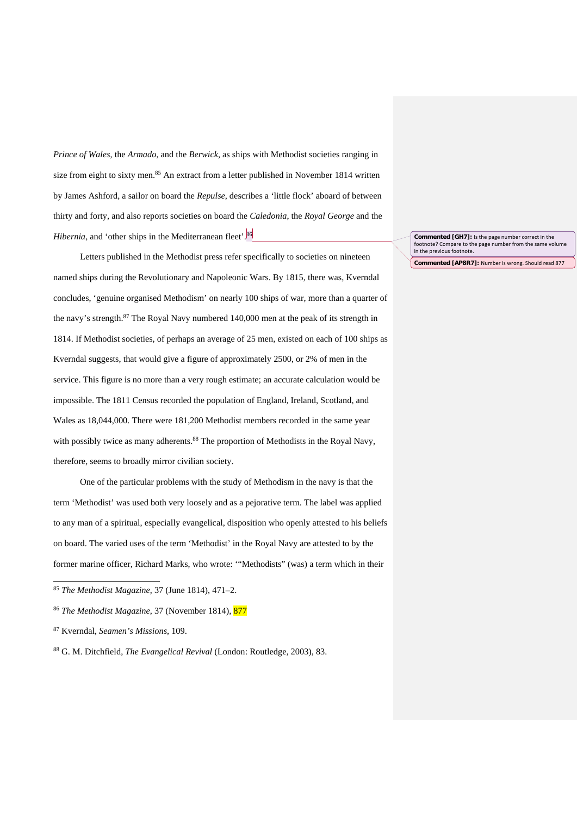*Prince of Wales*, the *Armado*, and the *Berwick*, as ships with Methodist societies ranging in size from eight to sixty men.<sup>85</sup> An extract from a letter published in November 1814 written by James Ashford, a sailor on board the *Repulse*, describes a 'little flock' aboard of between thirty and forty, and also reports societies on board the *Caledonia*, the *Royal George* and the *Hibernia*, and 'other ships in the Mediterranean fleet'.<sup>86</sup>

Letters published in the Methodist press refer specifically to societies on nineteen named ships during the Revolutionary and Napoleonic Wars. By 1815, there was, Kverndal concludes, 'genuine organised Methodism' on nearly 100 ships of war, more than a quarter of the navy's strength. $87$  The Royal Navy numbered 140,000 men at the peak of its strength in 1814. If Methodist societies, of perhaps an average of 25 men, existed on each of 100 ships as Kverndal suggests, that would give a figure of approximately 2500, or 2% of men in the service. This figure is no more than a very rough estimate; an accurate calculation would be impossible. The 1811 Census recorded the population of England, Ireland, Scotland, and Wales as 18,044,000. There were 181,200 Methodist members recorded in the same year with possibly twice as many adherents.<sup>88</sup> The proportion of Methodists in the Royal Navy, therefore, seems to broadly mirror civilian society.

One of the particular problems with the study of Methodism in the navy is that the term 'Methodist' was used both very loosely and as a pejorative term. The label was applied to any man of a spiritual, especially evangelical, disposition who openly attested to his beliefs on board. The varied uses of the term 'Methodist' in the Royal Navy are attested to by the former marine officer, Richard Marks, who wrote: '"Methodists" (was) a term which in their

1

<sup>88</sup> G. M. Ditchfield, *The Evangelical Revival* (London: Routledge, 2003), 83.

**Commented [GH7]:** Is the page number correct in the footnote? Compare to the page number from the same volur in the previous footnote.

**Commented [AP8R7]:** Number is wrong. Should read 877

<sup>85</sup> *The Methodist Magazine*, 37 (June 1814), 471–2.

<sup>86</sup> *The Methodist Magazine*, 37 (November 1814), 877

<sup>87</sup> Kverndal, *Seamen's Missions*, 109.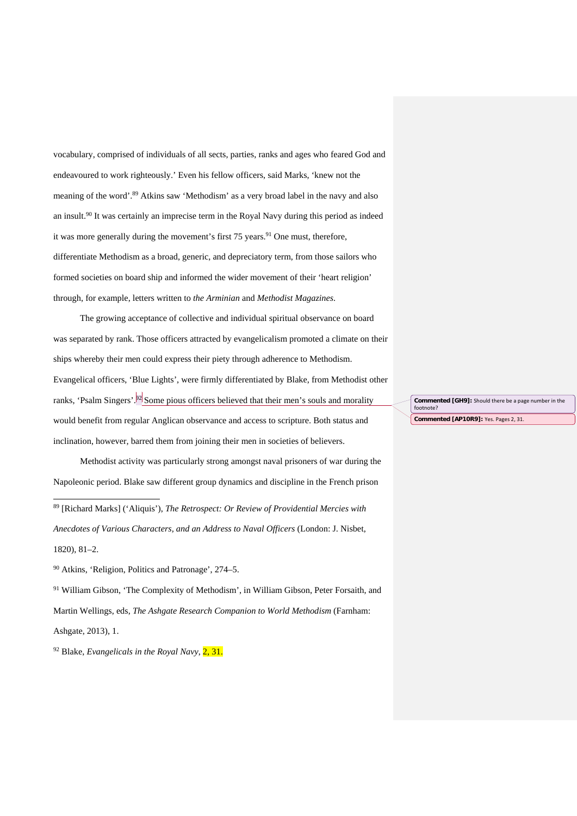vocabulary, comprised of individuals of all sects, parties, ranks and ages who feared God and endeavoured to work righteously.' Even his fellow officers, said Marks, 'knew not the meaning of the word'. <sup>89</sup> Atkins saw 'Methodism' as a very broad label in the navy and also an insult.90 It was certainly an imprecise term in the Royal Navy during this period as indeed it was more generally during the movement's first  $75$  years.<sup>91</sup> One must, therefore, differentiate Methodism as a broad, generic, and depreciatory term, from those sailors who formed societies on board ship and informed the wider movement of their 'heart religion' through, for example, letters written to *the Arminian* and *Methodist Magazines*.

The growing acceptance of collective and individual spiritual observance on board was separated by rank. Those officers attracted by evangelicalism promoted a climate on their ships whereby their men could express their piety through adherence to Methodism. Evangelical officers, 'Blue Lights', were firmly differentiated by Blake, from Methodist other ranks, 'Psalm Singers'.<sup>92</sup> Some pious officers believed that their men's souls and morality would benefit from regular Anglican observance and access to scripture. Both status and inclination, however, barred them from joining their men in societies of believers.

Methodist activity was particularly strong amongst naval prisoners of war during the Napoleonic period. Blake saw different group dynamics and discipline in the French prison

<sup>89</sup> [Richard Marks] ('Aliquis'), *The Retrospect: Or Review of Providential Mercies with Anecdotes of Various Characters, and an Address to Naval Officers* (London: J. Nisbet, 1820), 81–2.

<sup>90</sup> Atkins, 'Religion, Politics and Patronage', 274–5.

1

<sup>91</sup> William Gibson, 'The Complexity of Methodism', in William Gibson, Peter Forsaith, and Martin Wellings, eds, *The Ashgate Research Companion to World Methodism* (Farnham: Ashgate, 2013), 1.

<sup>92</sup> Blake, *Evangelicals in the Royal Navy*, 2, 31.

**Commented [GH9]:** Should there be a page number in the footnote? **Commented [AP10R9]:** Yes. Pages 2, 31.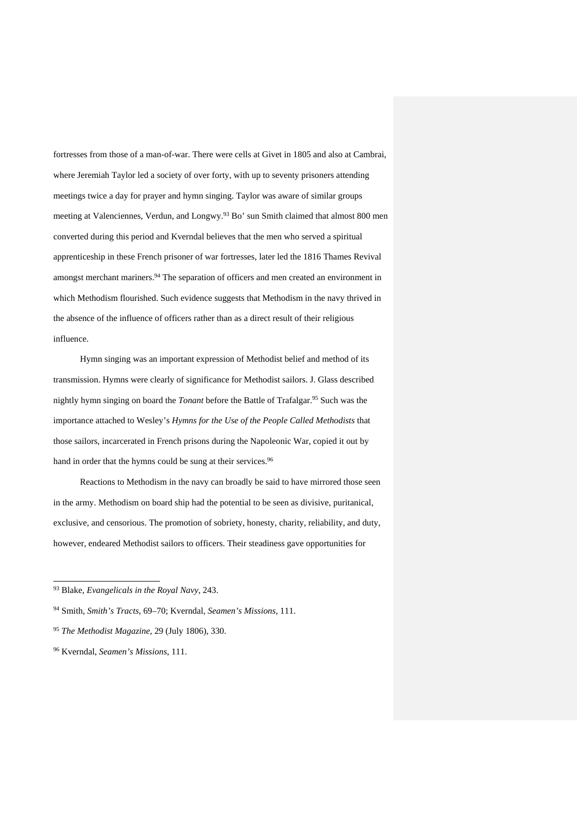fortresses from those of a man-of-war. There were cells at Givet in 1805 and also at Cambrai, where Jeremiah Taylor led a society of over forty, with up to seventy prisoners attending meetings twice a day for prayer and hymn singing. Taylor was aware of similar groups meeting at Valenciennes, Verdun, and Longwy.93 Bo' sun Smith claimed that almost 800 men converted during this period and Kverndal believes that the men who served a spiritual apprenticeship in these French prisoner of war fortresses, later led the 1816 Thames Revival amongst merchant mariners.<sup>94</sup> The separation of officers and men created an environment in which Methodism flourished. Such evidence suggests that Methodism in the navy thrived in the absence of the influence of officers rather than as a direct result of their religious influence.

Hymn singing was an important expression of Methodist belief and method of its transmission. Hymns were clearly of significance for Methodist sailors. J. Glass described nightly hymn singing on board the *Tonant* before the Battle of Trafalgar.<sup>95</sup> Such was the importance attached to Wesley's *Hymns for the Use of the People Called Methodists* that those sailors, incarcerated in French prisons during the Napoleonic War, copied it out by hand in order that the hymns could be sung at their services.<sup>96</sup>

Reactions to Methodism in the navy can broadly be said to have mirrored those seen in the army. Methodism on board ship had the potential to be seen as divisive, puritanical, exclusive, and censorious. The promotion of sobriety, honesty, charity, reliability, and duty, however, endeared Methodist sailors to officers. Their steadiness gave opportunities for

<sup>93</sup> Blake, *Evangelicals in the Royal Navy*, 243.

<sup>94</sup> Smith, *Smith's Tracts*, 69–70; Kverndal, *Seamen's Missions*, 111.

<sup>95</sup> *The Methodist Magazine*, 29 (July 1806), 330.

<sup>96</sup> Kverndal, *Seamen's Missions*, 111.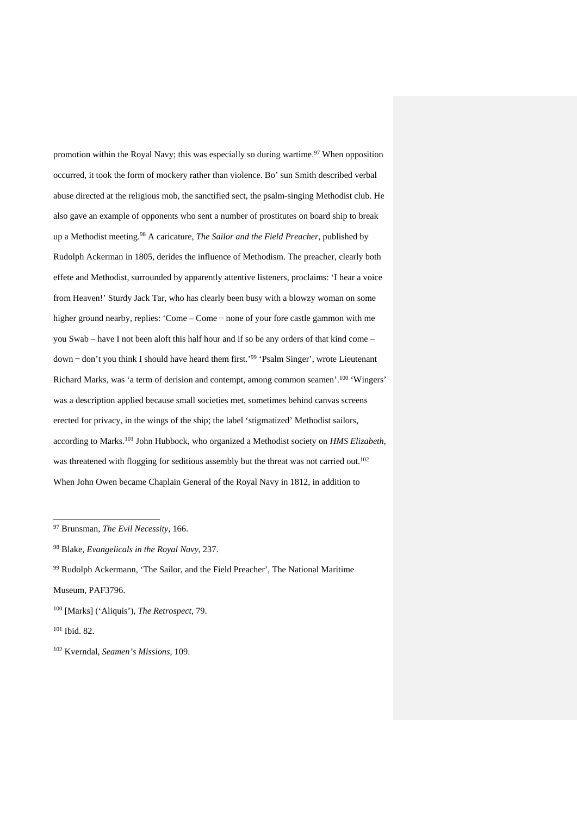promotion within the Royal Navy; this was especially so during wartime.<sup>97</sup> When opposition occurred, it took the form of mockery rather than violence. Bo' sun Smith described verbal abuse directed at the religious mob, the sanctified sect, the psalm-singing Methodist club. He also gave an example of opponents who sent a number of prostitutes on board ship to break up a Methodist meeting.98 A caricature, *The Sailor and the Field Preacher*, published by Rudolph Ackerman in 1805, derides the influence of Methodism. The preacher, clearly both effete and Methodist, surrounded by apparently attentive listeners, proclaims: 'I hear a voice from Heaven!' Sturdy Jack Tar, who has clearly been busy with a blowzy woman on some higher ground nearby, replies: 'Come – Come – none of your fore castle gammon with me you Swab – have I not been aloft this half hour and if so be any orders of that kind come – down – don't you think I should have heard them first.<sup>'99</sup> 'Psalm Singer', wrote Lieutenant Richard Marks, was 'a term of derision and contempt, among common seamen'.<sup>100</sup> 'Wingers' was a description applied because small societies met, sometimes behind canvas screens erected for privacy, in the wings of the ship; the label 'stigmatized' Methodist sailors, according to Marks.101 John Hubbock, who organized a Methodist society on *HMS Elizabeth*, was threatened with flogging for seditious assembly but the threat was not carried out.<sup>102</sup> When John Owen became Chaplain General of the Royal Navy in 1812, in addition to

<sup>97</sup> Brunsman, *The Evil Necessity*, 166.

<sup>98</sup> Blake, *Evangelicals in the Royal Navy*, 237.

 $99$  Rudolph Ackermann, 'The Sailor, and the Field Preacher', The National Maritime Museum, PAF3796.

<sup>100</sup> [Marks] ('Aliquis'), *The Retrospect*, 79.

<sup>101</sup> Ibid. 82.

<sup>102</sup> Kverndal, *Seamen's Missions*, 109.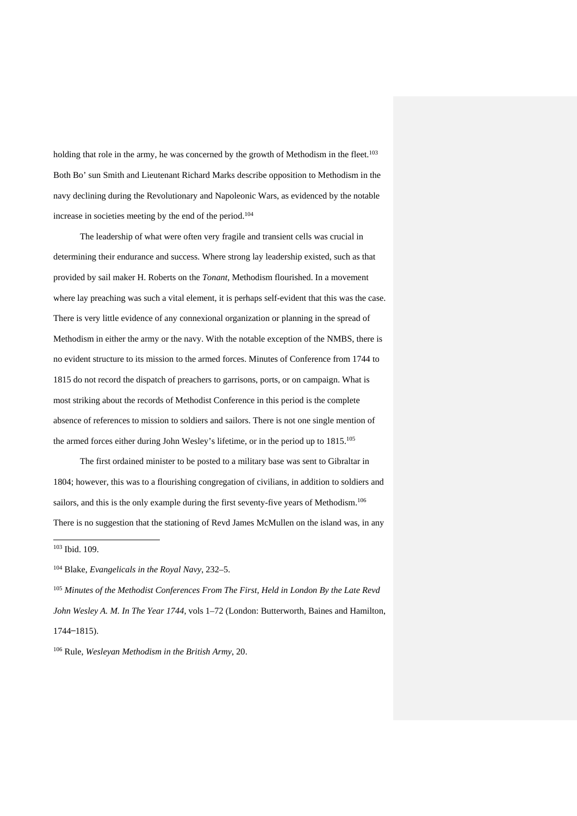holding that role in the army, he was concerned by the growth of Methodism in the fleet.<sup>103</sup> Both Bo' sun Smith and Lieutenant Richard Marks describe opposition to Methodism in the navy declining during the Revolutionary and Napoleonic Wars, as evidenced by the notable increase in societies meeting by the end of the period.104

The leadership of what were often very fragile and transient cells was crucial in determining their endurance and success. Where strong lay leadership existed, such as that provided by sail maker H. Roberts on the *Tonant*, Methodism flourished. In a movement where lay preaching was such a vital element, it is perhaps self-evident that this was the case. There is very little evidence of any connexional organization or planning in the spread of Methodism in either the army or the navy. With the notable exception of the NMBS, there is no evident structure to its mission to the armed forces. Minutes of Conference from 1744 to 1815 do not record the dispatch of preachers to garrisons, ports, or on campaign. What is most striking about the records of Methodist Conference in this period is the complete absence of references to mission to soldiers and sailors. There is not one single mention of the armed forces either during John Wesley's lifetime, or in the period up to 1815.105

The first ordained minister to be posted to a military base was sent to Gibraltar in 1804; however, this was to a flourishing congregation of civilians, in addition to soldiers and sailors, and this is the only example during the first seventy-five years of Methodism.106 There is no suggestion that the stationing of Revd James McMullen on the island was, in any

.

<sup>105</sup> *Minutes of the Methodist Conferences From The First, Held in London By the Late Revd John Wesley A. M. In The Year 1744*, vols 1–72 (London: Butterworth, Baines and Hamilton,  $1744 - 1815$ .

<sup>106</sup> Rule, *Wesleyan Methodism in the British Army*, 20.

<sup>103</sup> Ibid. 109.

<sup>104</sup> Blake, *Evangelicals in the Royal Navy*, 232–5.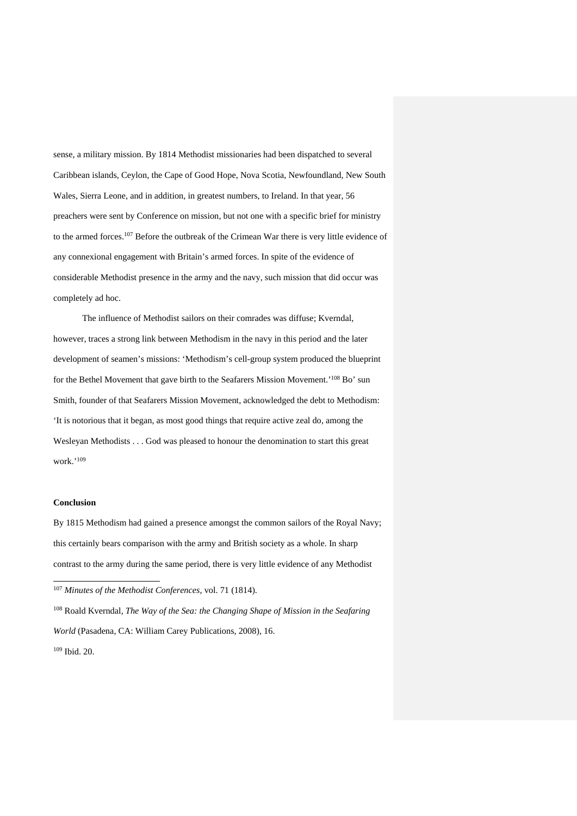sense, a military mission. By 1814 Methodist missionaries had been dispatched to several Caribbean islands, Ceylon, the Cape of Good Hope, Nova Scotia, Newfoundland, New South Wales, Sierra Leone, and in addition, in greatest numbers, to Ireland. In that year, 56 preachers were sent by Conference on mission, but not one with a specific brief for ministry to the armed forces.107 Before the outbreak of the Crimean War there is very little evidence of any connexional engagement with Britain's armed forces. In spite of the evidence of considerable Methodist presence in the army and the navy, such mission that did occur was completely ad hoc.

The influence of Methodist sailors on their comrades was diffuse; Kverndal, however, traces a strong link between Methodism in the navy in this period and the later development of seamen's missions: 'Methodism's cell-group system produced the blueprint for the Bethel Movement that gave birth to the Seafarers Mission Movement.'<sup>108</sup> Bo' sun Smith, founder of that Seafarers Mission Movement, acknowledged the debt to Methodism: 'It is notorious that it began, as most good things that require active zeal do, among the Wesleyan Methodists . . . God was pleased to honour the denomination to start this great work.' 109

#### **Conclusion**

1

By 1815 Methodism had gained a presence amongst the common sailors of the Royal Navy; this certainly bears comparison with the army and British society as a whole. In sharp contrast to the army during the same period, there is very little evidence of any Methodist

<sup>108</sup> Roald Kverndal, *The Way of the Sea: the Changing Shape of Mission in the Seafaring World* (Pasadena, CA: William Carey Publications, 2008), 16. <sup>109</sup> Ibid. 20.

<sup>107</sup> *Minutes of the Methodist Conferences*, vol. 71 (1814).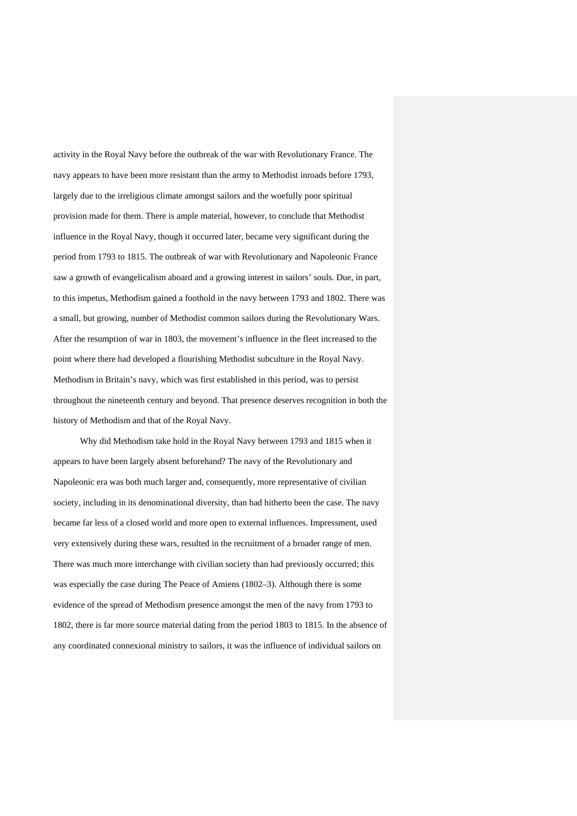activity in the Royal Navy before the outbreak of the war with Revolutionary France. The navy appears to have been more resistant than the army to Methodist inroads before 1793, largely due to the irreligious climate amongst sailors and the woefully poor spiritual provision made for them. There is ample material, however, to conclude that Methodist influence in the Royal Navy, though it occurred later, became very significant during the period from 1793 to 1815. The outbreak of war with Revolutionary and Napoleonic France saw a growth of evangelicalism aboard and a growing interest in sailors' souls. Due, in part, to this impetus, Methodism gained a foothold in the navy between 1793 and 1802. There was a small, but growing, number of Methodist common sailors during the Revolutionary Wars. After the resumption of war in 1803, the movement's influence in the fleet increased to the point where there had developed a flourishing Methodist subculture in the Royal Navy. Methodism in Britain's navy, which was first established in this period, was to persist throughout the nineteenth century and beyond. That presence deserves recognition in both the history of Methodism and that of the Royal Navy.

Why did Methodism take hold in the Royal Navy between 1793 and 1815 when it appears to have been largely absent beforehand? The navy of the Revolutionary and Napoleonic era was both much larger and, consequently, more representative of civilian society, including in its denominational diversity, than had hitherto been the case. The navy became far less of a closed world and more open to external influences. Impressment, used very extensively during these wars, resulted in the recruitment of a broader range of men. There was much more interchange with civilian society than had previously occurred; this was especially the case during The Peace of Amiens (1802–3). Although there is some evidence of the spread of Methodism presence amongst the men of the navy from 1793 to 1802, there is far more source material dating from the period 1803 to 1815. In the absence of any coordinated connexional ministry to sailors, it was the influence of individual sailors on